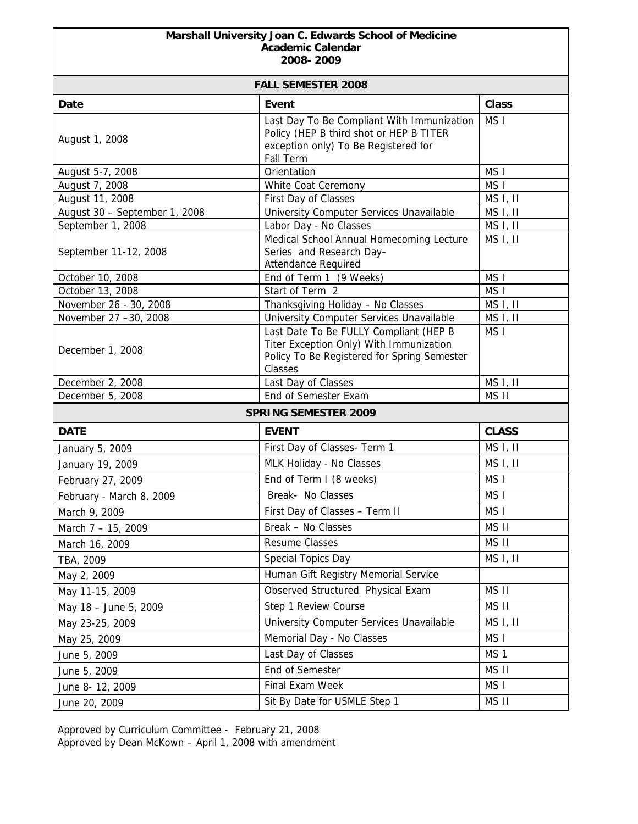## **Marshall University Joan C. Edwards School of Medicine Academic Calendar 2008- 2009**

| <b>FALL SEMESTER 2008</b>     |                                                                                                                                             |                      |  |
|-------------------------------|---------------------------------------------------------------------------------------------------------------------------------------------|----------------------|--|
| Date                          | <b>Event</b>                                                                                                                                | <b>Class</b>         |  |
| August 1, 2008                | Last Day To Be Compliant With Immunization<br>Policy (HEP B third shot or HEP B TITER<br>exception only) To Be Registered for<br>Fall Term  | MS <sub>I</sub>      |  |
| August 5-7, 2008              | Orientation                                                                                                                                 | MS <sub>I</sub>      |  |
| August 7, 2008                | White Coat Ceremony                                                                                                                         | MS <sub>I</sub>      |  |
| August 11, 2008               | First Day of Classes                                                                                                                        | MS I, II             |  |
| August 30 - September 1, 2008 | University Computer Services Unavailable                                                                                                    | MS I, II             |  |
| September 1, 2008             | Labor Day - No Classes                                                                                                                      | MS I, II             |  |
| September 11-12, 2008         | Medical School Annual Homecoming Lecture<br>Series and Research Day-<br>Attendance Required                                                 | MS <sub>I</sub> , II |  |
| October 10, 2008              | End of Term 1 (9 Weeks)                                                                                                                     | MS <sub>I</sub>      |  |
| October 13, 2008              | Start of Term 2                                                                                                                             | MS <sub>I</sub>      |  |
| November 26 - 30, 2008        | Thanksgiving Holiday - No Classes                                                                                                           | MS I, II             |  |
| November 27 -30, 2008         | University Computer Services Unavailable                                                                                                    | MS I, II             |  |
| December 1, 2008              | Last Date To Be FULLY Compliant (HEP B<br>Titer Exception Only) With Immunization<br>Policy To Be Registered for Spring Semester<br>Classes | MS <sub>I</sub>      |  |
| December 2, 2008              | Last Day of Classes                                                                                                                         | MS <sub>I</sub> , II |  |
| December 5, 2008              | End of Semester Exam                                                                                                                        | MS II                |  |
| <b>SPRING SEMESTER 2009</b>   |                                                                                                                                             |                      |  |
| <b>DATE</b>                   | <b>EVENT</b>                                                                                                                                | <b>CLASS</b>         |  |
| January 5, 2009               | First Day of Classes- Term 1                                                                                                                | MS I, II             |  |
| January 19, 2009              | MLK Holiday - No Classes                                                                                                                    | MS I, II             |  |
| February 27, 2009             | End of Term I (8 weeks)                                                                                                                     | MS <sub>I</sub>      |  |
| February - March 8, 2009      | Break- No Classes                                                                                                                           | MS <sub>I</sub>      |  |
| March 9, 2009                 | First Day of Classes - Term II                                                                                                              | MS <sub>1</sub>      |  |
| March 7 - 15, 2009            | Break - No Classes                                                                                                                          | MS II                |  |
| March 16, 2009                | Resume Classes                                                                                                                              | MS II                |  |
| TBA, 2009                     | Special Topics Day                                                                                                                          | MS <sub>I</sub> , II |  |
| May 2, 2009                   | Human Gift Registry Memorial Service                                                                                                        |                      |  |
| May 11-15, 2009               | Observed Structured Physical Exam                                                                                                           | MS II                |  |
| May 18 - June 5, 2009         | Step 1 Review Course                                                                                                                        | MS II                |  |
| May 23-25, 2009               | University Computer Services Unavailable                                                                                                    | MS I, II             |  |
| May 25, 2009                  | Memorial Day - No Classes                                                                                                                   | MS I                 |  |
| June 5, 2009                  | Last Day of Classes                                                                                                                         | MS <sub>1</sub>      |  |
| June 5, 2009                  | End of Semester                                                                                                                             | MS II                |  |
| June 8-12, 2009               | Final Exam Week                                                                                                                             | MS I                 |  |
| June 20, 2009                 | Sit By Date for USMLE Step 1                                                                                                                | MS II                |  |

Approved by Curriculum Committee - February 21, 2008 Approved by Dean McKown – April 1, 2008 with amendment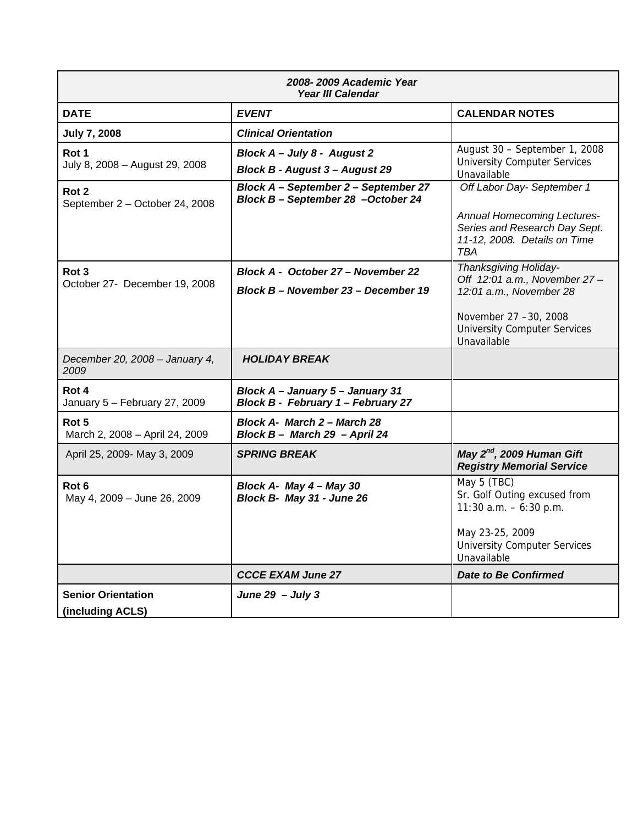| 2008-2009 Academic Year<br>Year III Calendar       |                                                                             |                                                                                                                                                                 |
|----------------------------------------------------|-----------------------------------------------------------------------------|-----------------------------------------------------------------------------------------------------------------------------------------------------------------|
| <b>DATE</b>                                        | <b>EVENT</b>                                                                | <b>CALENDAR NOTES</b>                                                                                                                                           |
| <b>July 7, 2008</b>                                | <b>Clinical Orientation</b>                                                 |                                                                                                                                                                 |
| Rot 1<br>July 8, 2008 - August 29, 2008            | Block A - July 8 - August 2<br>Block B - August 3 - August 29               | August 30 - September 1, 2008<br><b>University Computer Services</b><br>Unavailable                                                                             |
| Rot <sub>2</sub><br>September 2 - October 24, 2008 | Block A - September 2 - September 27<br>Block B - September 28 - October 24 | Off Labor Day- September 1<br><b>Annual Homecoming Lectures-</b><br>Series and Research Day Sept.<br>11-12, 2008. Details on Time<br>TBA                        |
| Rot <sub>3</sub><br>October 27- December 19, 2008  | Block A - October 27 - November 22<br>Block B - November 23 - December 19   | Thanksgiving Holiday-<br>Off 12:01 a.m., November 27-<br>12:01 a.m., November 28<br>November 27 -30, 2008<br><b>University Computer Services</b><br>Unavailable |
| December 20, 2008 - January 4,<br>2009             | <b>HOLIDAY BREAK</b>                                                        |                                                                                                                                                                 |
| Rot 4<br>January 5 - February 27, 2009             | Block A - January 5 - January 31<br>Block B - February 1 - February 27      |                                                                                                                                                                 |
| Rot <sub>5</sub><br>March 2, 2008 - April 24, 2009 | Block A- March 2 - March 28<br>Block B - March 29 - April 24                |                                                                                                                                                                 |
| April 25, 2009- May 3, 2009                        | <b>SPRING BREAK</b>                                                         | May 2 <sup>nd</sup> , 2009 Human Gift<br><b>Registry Memorial Service</b>                                                                                       |
| Rot <sub>6</sub><br>May 4, 2009 - June 26, 2009    | Block A- May 4 - May 30<br>Block B- May 31 - June 26                        | May 5 (TBC)<br>Sr. Golf Outing excused from<br>11:30 $a.m. - 6:30$ p.m.<br>May 23-25, 2009<br><b>University Computer Services</b><br>Unavailable                |
|                                                    | <b>CCCE EXAM June 27</b>                                                    | <b>Date to Be Confirmed</b>                                                                                                                                     |
| <b>Senior Orientation</b><br>(including ACLS)      | June $29 - July 3$                                                          |                                                                                                                                                                 |